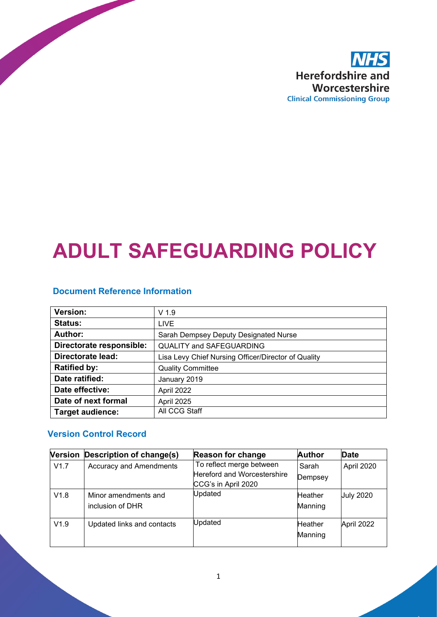

# **ADULT SAFEGUARDING POLICY**

#### **Document Reference Information**

| <b>Version:</b>          | $V$ 1.9                                             |  |
|--------------------------|-----------------------------------------------------|--|
| <b>Status:</b>           | <b>LIVE</b>                                         |  |
| <b>Author:</b>           | Sarah Dempsey Deputy Designated Nurse               |  |
| Directorate responsible: | <b>QUALITY and SAFEGUARDING</b>                     |  |
| <b>Directorate lead:</b> | Lisa Levy Chief Nursing Officer/Director of Quality |  |
| <b>Ratified by:</b>      | <b>Quality Committee</b>                            |  |
| Date ratified:           | January 2019                                        |  |
| Date effective:          | April 2022                                          |  |
| Date of next formal      | April 2025                                          |  |
| <b>Target audience:</b>  | All CCG Staff                                       |  |

#### **Version Control Record**

|      | Version Description of change(s)         | <b>Reason for change</b>                                | <b>Author</b>             | <b>Date</b>      |
|------|------------------------------------------|---------------------------------------------------------|---------------------------|------------------|
| V1.7 | <b>Accuracy and Amendments</b>           | To reflect merge between<br>Hereford and Worcestershire | Sarah<br>Dempsey          | April 2020       |
|      |                                          | CCG's in April 2020                                     |                           |                  |
| V1.8 | Minor amendments and<br>inclusion of DHR | Updated                                                 | <b>Heather</b><br>Manning | <b>July 2020</b> |
| V1.9 | Updated links and contacts               | Updated                                                 | <b>Heather</b><br>Manning | April 2022       |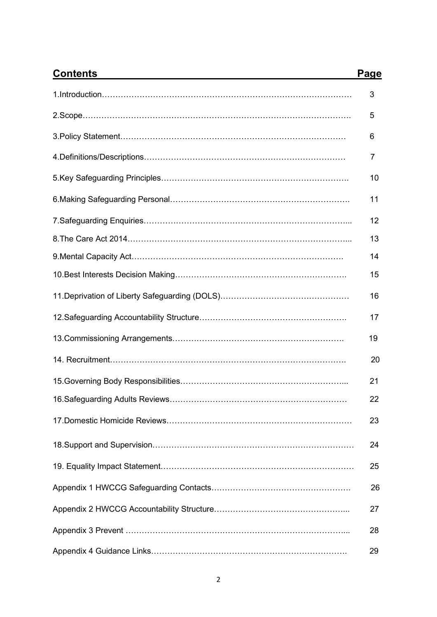| <b>Contents</b>                                  | <b>Page</b> |
|--------------------------------------------------|-------------|
|                                                  | 3           |
|                                                  | 5           |
|                                                  | 6           |
|                                                  | 7           |
|                                                  | 10          |
|                                                  | 11          |
|                                                  | 12          |
|                                                  | 13          |
| 9. Mental Capacity Act…………………………………………………………………… | 14          |
|                                                  | 15          |
|                                                  | 16          |
|                                                  | 17          |
|                                                  | 19          |
|                                                  | 20          |
|                                                  | 21          |
|                                                  | 22          |
|                                                  | 23          |
|                                                  | 24          |
|                                                  | 25          |
|                                                  | 26          |
|                                                  | 27          |
|                                                  | 28          |
|                                                  | 29          |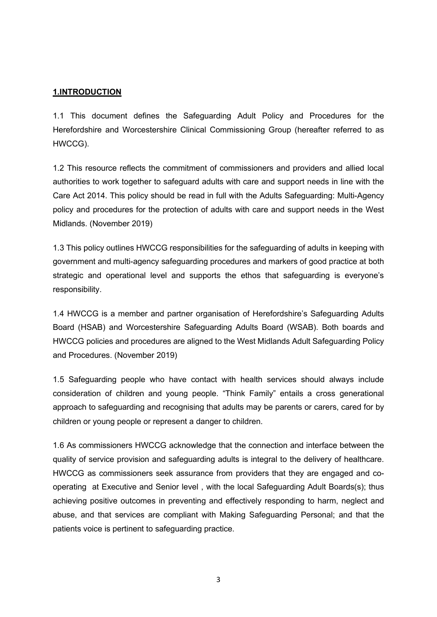#### **1.INTRODUCTION**

1.1 This document defines the Safeguarding Adult Policy and Procedures for the Herefordshire and Worcestershire Clinical Commissioning Group (hereafter referred to as HWCCG).

1.2 This resource reflects the commitment of commissioners and providers and allied local authorities to work together to safeguard adults with care and support needs in line with the Care Act 2014. This policy should be read in full with the Adults Safeguarding: Multi-Agency policy and procedures for the protection of adults with care and support needs in the West Midlands. (November 2019)

1.3 This policy outlines HWCCG responsibilities for the safeguarding of adults in keeping with government and multi-agency safeguarding procedures and markers of good practice at both strategic and operational level and supports the ethos that safeguarding is everyone's responsibility.

1.4 HWCCG is a member and partner organisation of Herefordshire's Safeguarding Adults Board (HSAB) and Worcestershire Safeguarding Adults Board (WSAB). Both boards and HWCCG policies and procedures are aligned to the West Midlands Adult Safeguarding Policy and Procedures. (November 2019)

1.5 Safeguarding people who have contact with health services should always include consideration of children and young people. "Think Family" entails a cross generational approach to safeguarding and recognising that adults may be parents or carers, cared for by children or young people or represent a danger to children.

1.6 As commissioners HWCCG acknowledge that the connection and interface between the quality of service provision and safeguarding adults is integral to the delivery of healthcare. HWCCG as commissioners seek assurance from providers that they are engaged and cooperating at Executive and Senior level , with the local Safeguarding Adult Boards(s); thus achieving positive outcomes in preventing and effectively responding to harm, neglect and abuse, and that services are compliant with Making Safeguarding Personal; and that the patients voice is pertinent to safeguarding practice.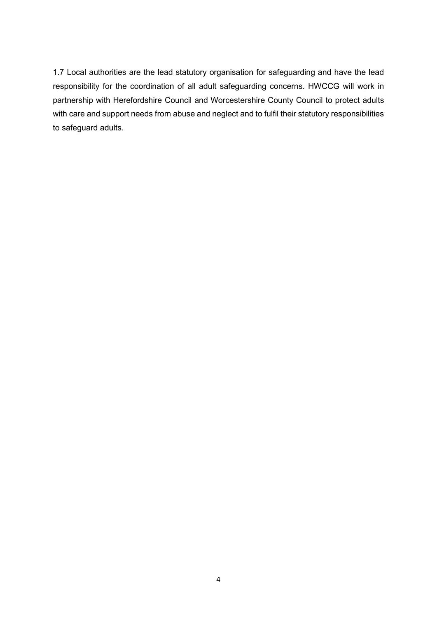1.7 Local authorities are the lead statutory organisation for safeguarding and have the lead responsibility for the coordination of all adult safeguarding concerns. HWCCG will work in partnership with Herefordshire Council and Worcestershire County Council to protect adults with care and support needs from abuse and neglect and to fulfil their statutory responsibilities to safeguard adults.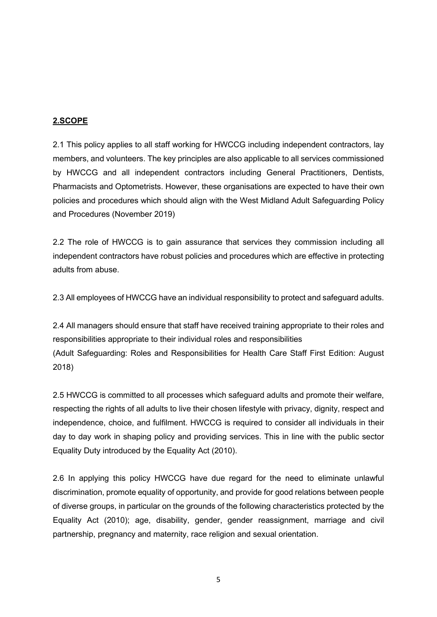#### **2.SCOPE**

2.1 This policy applies to all staff working for HWCCG including independent contractors, lay members, and volunteers. The key principles are also applicable to all services commissioned by HWCCG and all independent contractors including General Practitioners, Dentists, Pharmacists and Optometrists. However, these organisations are expected to have their own policies and procedures which should align with the West Midland Adult Safeguarding Policy and Procedures (November 2019)

2.2 The role of HWCCG is to gain assurance that services they commission including all independent contractors have robust policies and procedures which are effective in protecting adults from abuse.

2.3 All employees of HWCCG have an individual responsibility to protect and safeguard adults.

2.4 All managers should ensure that staff have received training appropriate to their roles and responsibilities appropriate to their individual roles and responsibilities (Adult Safeguarding: Roles and Responsibilities for Health Care Staff First Edition: August 2018)

2.5 HWCCG is committed to all processes which safeguard adults and promote their welfare, respecting the rights of all adults to live their chosen lifestyle with privacy, dignity, respect and independence, choice, and fulfilment. HWCCG is required to consider all individuals in their day to day work in shaping policy and providing services. This in line with the public sector Equality Duty introduced by the Equality Act (2010).

2.6 In applying this policy HWCCG have due regard for the need to eliminate unlawful discrimination, promote equality of opportunity, and provide for good relations between people of diverse groups, in particular on the grounds of the following characteristics protected by the Equality Act (2010); age, disability, gender, gender reassignment, marriage and civil partnership, pregnancy and maternity, race religion and sexual orientation.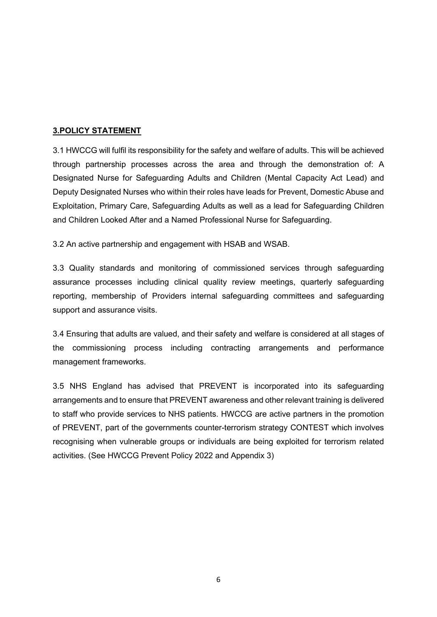#### **3.POLICY STATEMENT**

3.1 HWCCG will fulfil its responsibility for the safety and welfare of adults. This will be achieved through partnership processes across the area and through the demonstration of: A Designated Nurse for Safeguarding Adults and Children (Mental Capacity Act Lead) and Deputy Designated Nurses who within their roles have leads for Prevent, Domestic Abuse and Exploitation, Primary Care, Safeguarding Adults as well as a lead for Safeguarding Children and Children Looked After and a Named Professional Nurse for Safeguarding.

3.2 An active partnership and engagement with HSAB and WSAB.

3.3 Quality standards and monitoring of commissioned services through safeguarding assurance processes including clinical quality review meetings, quarterly safeguarding reporting, membership of Providers internal safeguarding committees and safeguarding support and assurance visits.

3.4 Ensuring that adults are valued, and their safety and welfare is considered at all stages of the commissioning process including contracting arrangements and performance management frameworks.

3.5 NHS England has advised that PREVENT is incorporated into its safeguarding arrangements and to ensure that PREVENT awareness and other relevant training is delivered to staff who provide services to NHS patients. HWCCG are active partners in the promotion of PREVENT, part of the governments counter-terrorism strategy CONTEST which involves recognising when vulnerable groups or individuals are being exploited for terrorism related activities. (See HWCCG Prevent Policy 2022 and Appendix 3)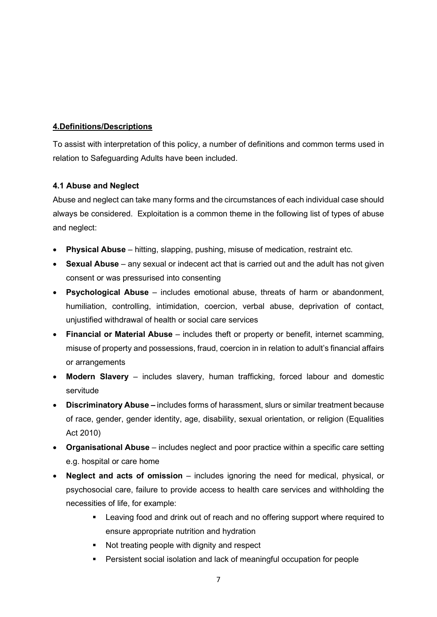#### **4.Definitions/Descriptions**

To assist with interpretation of this policy, a number of definitions and common terms used in relation to Safeguarding Adults have been included.

#### **4.1 Abuse and Neglect**

Abuse and neglect can take many forms and the circumstances of each individual case should always be considered. Exploitation is a common theme in the following list of types of abuse and neglect:

- **Physical Abuse** hitting, slapping, pushing, misuse of medication, restraint etc.
- **Sexual Abuse** any sexual or indecent act that is carried out and the adult has not given consent or was pressurised into consenting
- **Psychological Abuse** includes emotional abuse, threats of harm or abandonment, humiliation, controlling, intimidation, coercion, verbal abuse, deprivation of contact, unjustified withdrawal of health or social care services
- **Financial or Material Abuse** includes theft or property or benefit, internet scamming, misuse of property and possessions, fraud, coercion in in relation to adult's financial affairs or arrangements
- **Modern Slavery**  includes slavery, human trafficking, forced labour and domestic servitude
- **Discriminatory Abuse –** includes forms of harassment, slurs or similar treatment because of race, gender, gender identity, age, disability, sexual orientation, or religion (Equalities Act 2010)
- **Organisational Abuse**  includes neglect and poor practice within a specific care setting e.g. hospital or care home
- **Neglect and acts of omission**  includes ignoring the need for medical, physical, or psychosocial care, failure to provide access to health care services and withholding the necessities of life, for example:
	- **EXECT** Leaving food and drink out of reach and no offering support where required to ensure appropriate nutrition and hydration
	- Not treating people with dignity and respect
	- Persistent social isolation and lack of meaningful occupation for people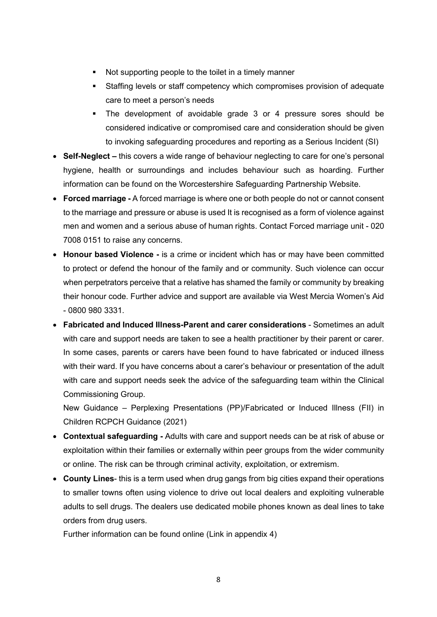- Not supporting people to the toilet in a timely manner
- Staffing levels or staff competency which compromises provision of adequate care to meet a person's needs
- The development of avoidable grade 3 or 4 pressure sores should be considered indicative or compromised care and consideration should be given to invoking safeguarding procedures and reporting as a Serious Incident (SI)
- **Self-Neglect –** this covers a wide range of behaviour neglecting to care for one's personal hygiene, health or surroundings and includes behaviour such as hoarding. Further information can be found on the Worcestershire Safeguarding Partnership Website.
- **Forced marriage -** A forced marriage is where one or both people do not or cannot consent to the marriage and pressure or abuse is used It is recognised as a form of violence against men and women and a serious abuse of human rights. Contact Forced marriage unit - 020 7008 0151 to raise any concerns.
- **Honour based Violence -** is a crime or incident which has or may have been committed to protect or defend the honour of the family and or community. Such violence can occur when perpetrators perceive that a relative has shamed the family or community by breaking their honour code. Further advice and support are available via West Mercia Women's Aid - 0800 980 3331.
- **Fabricated and Induced Illness-Parent and carer considerations** Sometimes an adult with care and support needs are taken to see a health practitioner by their parent or carer. In some cases, parents or carers have been found to have fabricated or induced illness with their ward. If you have concerns about a carer's behaviour or presentation of the adult with care and support needs seek the advice of the safeguarding team within the Clinical Commissioning Group.

New Guidance – Perplexing Presentations (PP)/Fabricated or Induced Illness (FII) in Children RCPCH Guidance (2021)

- **Contextual safeguarding -** Adults with care and support needs can be at risk of abuse or exploitation within their families or externally within peer groups from the wider community or online. The risk can be through criminal activity, exploitation, or extremism.
- **County Lines** this is a term used when drug gangs from big cities expand their operations to smaller towns often using violence to drive out local dealers and exploiting vulnerable adults to sell drugs. The dealers use dedicated mobile phones known as deal lines to take orders from drug users.

Further information can be found online (Link in appendix 4)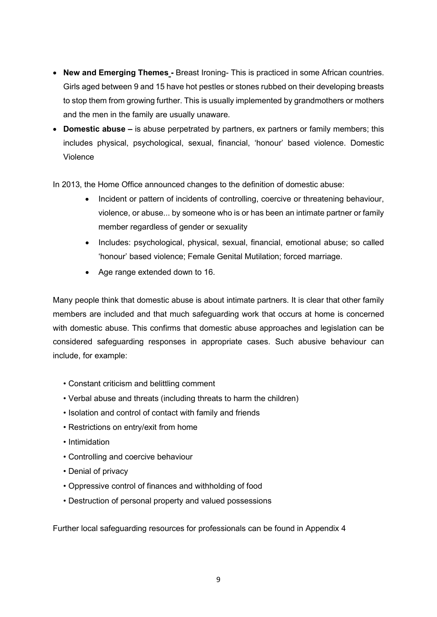- **New and Emerging Themes -** Breast Ironing- This is practiced in some African countries. Girls aged between 9 and 15 have hot pestles or stones rubbed on their developing breasts to stop them from growing further. This is usually implemented by grandmothers or mothers and the men in the family are usually unaware.
- **Domestic abuse –** is abuse perpetrated by partners, ex partners or family members; this includes physical, psychological, sexual, financial, 'honour' based violence. Domestic Violence

In 2013, the Home Office announced changes to the definition of domestic abuse:

- Incident or pattern of incidents of controlling, coercive or threatening behaviour, violence, or abuse... by someone who is or has been an intimate partner or family member regardless of gender or sexuality
- Includes: psychological, physical, sexual, financial, emotional abuse; so called 'honour' based violence; Female Genital Mutilation; forced marriage.
- Age range extended down to 16.

Many people think that domestic abuse is about intimate partners. It is clear that other family members are included and that much safeguarding work that occurs at home is concerned with domestic abuse. This confirms that domestic abuse approaches and legislation can be considered safeguarding responses in appropriate cases. Such abusive behaviour can include, for example:

- Constant criticism and belittling comment
- Verbal abuse and threats (including threats to harm the children)
- Isolation and control of contact with family and friends
- Restrictions on entry/exit from home
- Intimidation
- Controlling and coercive behaviour
- Denial of privacy
- Oppressive control of finances and withholding of food
- Destruction of personal property and valued possessions

Further local safeguarding resources for professionals can be found in Appendix 4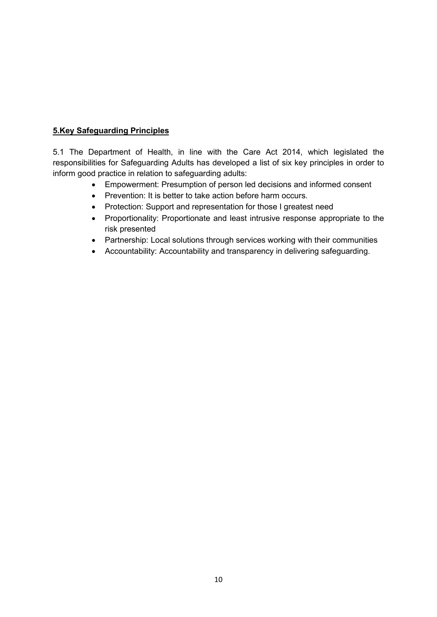#### **5.Key Safeguarding Principles**

5.1 The Department of Health, in line with the Care Act 2014, which legislated the responsibilities for Safeguarding Adults has developed a list of six key principles in order to inform good practice in relation to safeguarding adults:

- Empowerment: Presumption of person led decisions and informed consent
- Prevention: It is better to take action before harm occurs.
- Protection: Support and representation for those I greatest need
- Proportionality: Proportionate and least intrusive response appropriate to the risk presented
- Partnership: Local solutions through services working with their communities
- Accountability: Accountability and transparency in delivering safeguarding.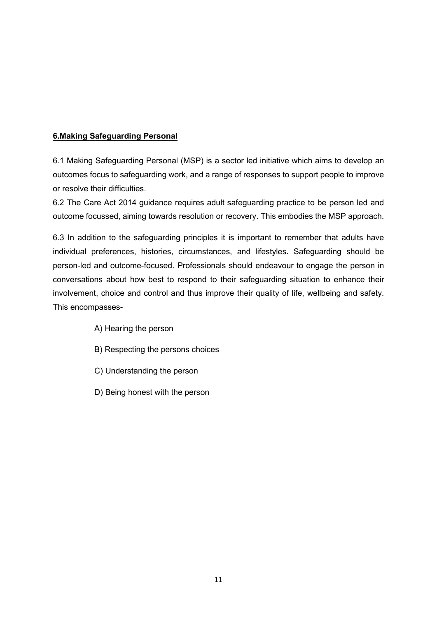#### **6.Making Safeguarding Personal**

6.1 Making Safeguarding Personal (MSP) is a sector led initiative which aims to develop an outcomes focus to safeguarding work, and a range of responses to support people to improve or resolve their difficulties.

6.2 The Care Act 2014 guidance requires adult safeguarding practice to be person led and outcome focussed, aiming towards resolution or recovery. This embodies the MSP approach.

6.3 In addition to the safeguarding principles it is important to remember that adults have individual preferences, histories, circumstances, and lifestyles. Safeguarding should be person-led and outcome-focused. Professionals should endeavour to engage the person in conversations about how best to respond to their safeguarding situation to enhance their involvement, choice and control and thus improve their quality of life, wellbeing and safety. This encompasses-

- A) Hearing the person
- B) Respecting the persons choices
- C) Understanding the person
- D) Being honest with the person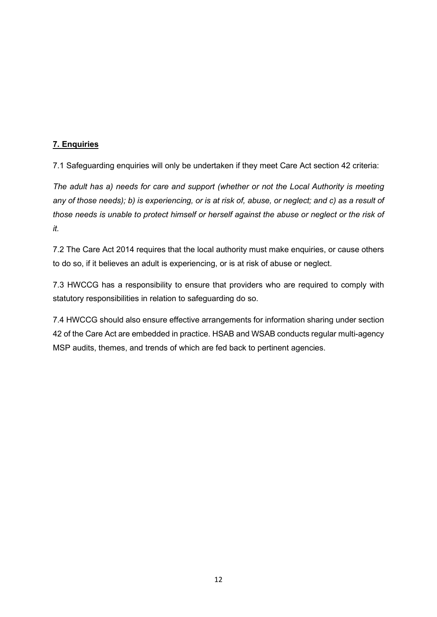#### **7. Enquiries**

7.1 Safeguarding enquiries will only be undertaken if they meet Care Act section 42 criteria:

*The adult has a) needs for care and support (whether or not the Local Authority is meeting any of those needs); b) is experiencing, or is at risk of, abuse, or neglect; and c) as a result of those needs is unable to protect himself or herself against the abuse or neglect or the risk of it.*

7.2 The Care Act 2014 requires that the local authority must make enquiries, or cause others to do so, if it believes an adult is experiencing, or is at risk of abuse or neglect.

7.3 HWCCG has a responsibility to ensure that providers who are required to comply with statutory responsibilities in relation to safeguarding do so.

7.4 HWCCG should also ensure effective arrangements for information sharing under section 42 of the Care Act are embedded in practice. HSAB and WSAB conducts regular multi-agency MSP audits, themes, and trends of which are fed back to pertinent agencies.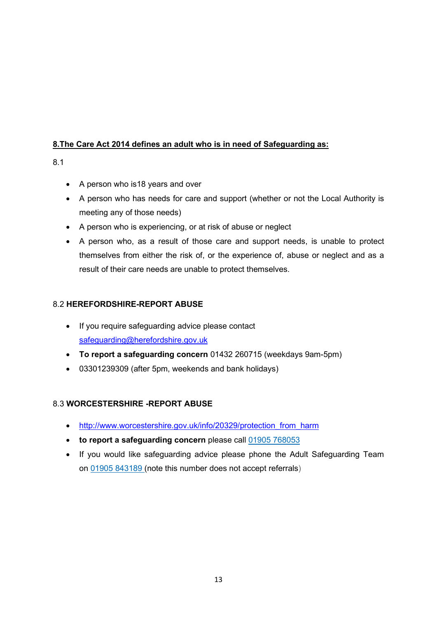#### **8.The Care Act 2014 defines an adult who is in need of Safeguarding as:**

8.1

- A person who is18 years and over
- A person who has needs for care and support (whether or not the Local Authority is meeting any of those needs)
- A person who is experiencing, or at risk of abuse or neglect
- A person who, as a result of those care and support needs, is unable to protect themselves from either the risk of, or the experience of, abuse or neglect and as a result of their care needs are unable to protect themselves.

## 8.2 **HEREFORDSHIRE-REPORT ABUSE**

- If you require safeguarding advice please contact [safeguarding@herefordshire.gov.uk](mailto:safeguarding@herefordshire.gov.uk)
- **To report a safeguarding concern** 01432 260715 (weekdays 9am-5pm)
- 03301239309 (after 5pm, weekends and bank holidays)

#### 8.3 **WORCESTERSHIRE -REPORT ABUSE**

- [http://www.worcestershire.gov.uk/info/20329/protection\\_from\\_harm](http://www.worcestershire.gov.uk/info/20329/protection_from_harm)
- **to report a safeguarding concern** please call [01905 768053](tel:01905%20768053)
- If you would like safeguarding advice please phone the Adult Safeguarding Team on [01905 843189](tel:01905%20843189) (note this number does not accept referrals)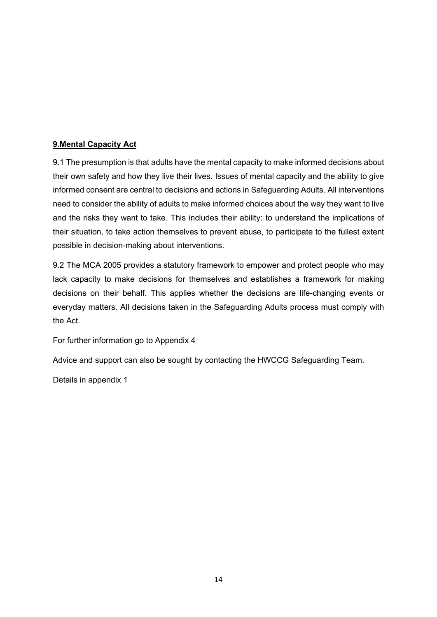#### **9.Mental Capacity Act**

9.1 The presumption is that adults have the mental capacity to make informed decisions about their own safety and how they live their lives. Issues of mental capacity and the ability to give informed consent are central to decisions and actions in Safeguarding Adults. All interventions need to consider the ability of adults to make informed choices about the way they want to live and the risks they want to take. This includes their ability: to understand the implications of their situation, to take action themselves to prevent abuse, to participate to the fullest extent possible in decision-making about interventions.

9.2 The MCA 2005 provides a statutory framework to empower and protect people who may lack capacity to make decisions for themselves and establishes a framework for making decisions on their behalf. This applies whether the decisions are life-changing events or everyday matters. All decisions taken in the Safeguarding Adults process must comply with the Act.

For further information go to Appendix 4

Advice and support can also be sought by contacting the HWCCG Safeguarding Team.

Details in appendix 1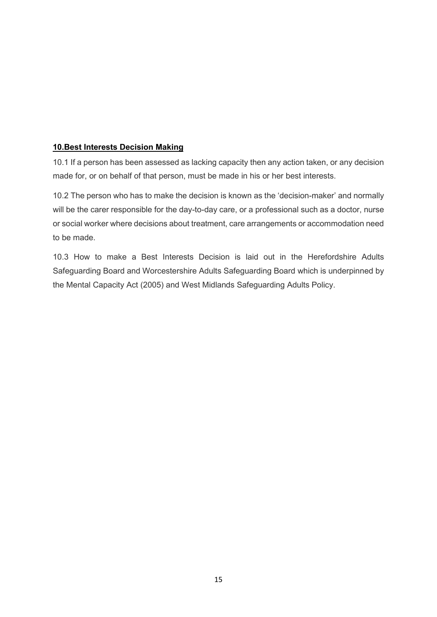#### **10.Best Interests Decision Making**

10.1 If a person has been assessed as lacking capacity then any action taken, or any decision made for, or on behalf of that person, must be made in his or her best interests.

10.2 The person who has to make the decision is known as the 'decision-maker' and normally will be the carer responsible for the day-to-day care, or a professional such as a doctor, nurse or social worker where decisions about treatment, care arrangements or accommodation need to be made.

10.3 How to make a Best Interests Decision is laid out in the Herefordshire Adults Safeguarding Board and Worcestershire Adults Safeguarding Board which is underpinned by the Mental Capacity Act (2005) and West Midlands Safeguarding Adults Policy.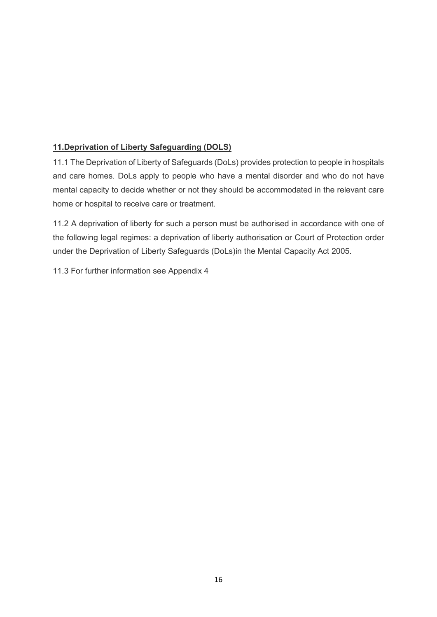## **11.Deprivation of Liberty Safeguarding (DOLS)**

11.1 The Deprivation of Liberty of Safeguards (DoLs) provides protection to people in hospitals and care homes. DoLs apply to people who have a mental disorder and who do not have mental capacity to decide whether or not they should be accommodated in the relevant care home or hospital to receive care or treatment.

11.2 A deprivation of liberty for such a person must be authorised in accordance with one of the following legal regimes: a deprivation of liberty authorisation or Court of Protection order under the Deprivation of Liberty Safeguards (DoLs)in the Mental Capacity Act 2005.

11.3 For further information see Appendix 4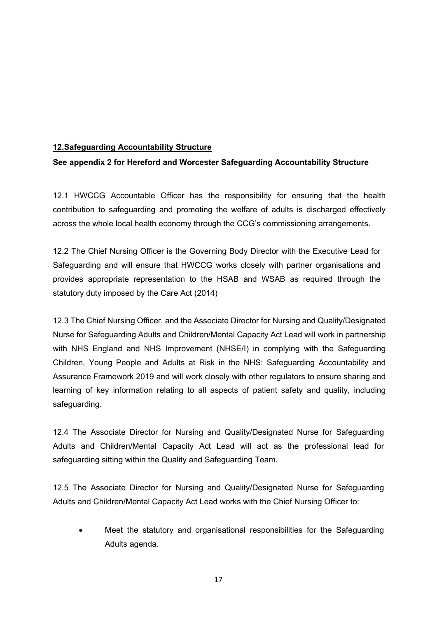#### **12.Safeguarding Accountability Structure**

#### **See appendix 2 for Hereford and Worcester Safeguarding Accountability Structure**

12.1 HWCCG Accountable Officer has the responsibility for ensuring that the health contribution to safeguarding and promoting the welfare of adults is discharged effectively across the whole local health economy through the CCG's commissioning arrangements.

12.2 The Chief Nursing Officer is the Governing Body Director with the Executive Lead for Safeguarding and will ensure that HWCCG works closely with partner organisations and provides appropriate representation to the HSAB and WSAB as required through the statutory duty imposed by the Care Act (2014)

12.3 The Chief Nursing Officer, and the Associate Director for Nursing and Quality/Designated Nurse for Safeguarding Adults and Children/Mental Capacity Act Lead will work in partnership with NHS England and NHS Improvement (NHSE/I) in complying with the Safeguarding Children, Young People and Adults at Risk in the NHS: Safeguarding Accountability and Assurance Framework 2019 and will work closely with other regulators to ensure sharing and learning of key information relating to all aspects of patient safety and quality, including safeguarding.

12.4 The Associate Director for Nursing and Quality/Designated Nurse for Safeguarding Adults and Children/Mental Capacity Act Lead will act as the professional lead for safeguarding sitting within the Quality and Safeguarding Team.

12.5 The Associate Director for Nursing and Quality/Designated Nurse for Safeguarding Adults and Children/Mental Capacity Act Lead works with the Chief Nursing Officer to:

• Meet the statutory and organisational responsibilities for the Safeguarding Adults agenda.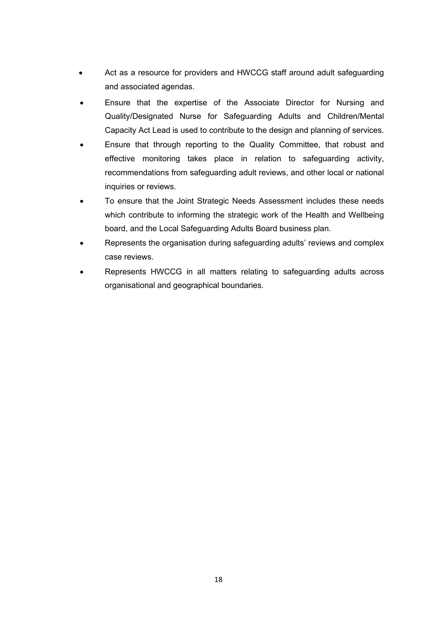- Act as a resource for providers and HWCCG staff around adult safeguarding and associated agendas.
- Ensure that the expertise of the Associate Director for Nursing and Quality/Designated Nurse for Safeguarding Adults and Children/Mental Capacity Act Lead is used to contribute to the design and planning of services.
- Ensure that through reporting to the Quality Committee, that robust and effective monitoring takes place in relation to safeguarding activity, recommendations from safeguarding adult reviews, and other local or national inquiries or reviews.
- To ensure that the Joint Strategic Needs Assessment includes these needs which contribute to informing the strategic work of the Health and Wellbeing board, and the Local Safeguarding Adults Board business plan.
- Represents the organisation during safeguarding adults' reviews and complex case reviews.
- Represents HWCCG in all matters relating to safeguarding adults across organisational and geographical boundaries.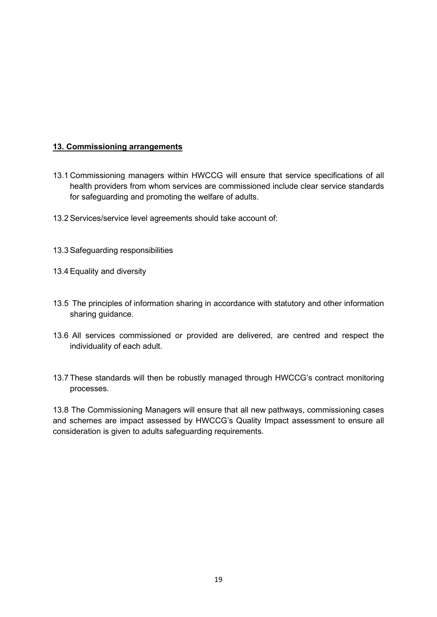#### **13. Commissioning arrangements**

- 13.1 Commissioning managers within HWCCG will ensure that service specifications of all health providers from whom services are commissioned include clear service standards for safeguarding and promoting the welfare of adults.
- 13.2Services/service level agreements should take account of:
- 13.3Safeguarding responsibilities
- 13.4Equality and diversity
- 13.5 The principles of information sharing in accordance with statutory and other information sharing guidance.
- 13.6 All services commissioned or provided are delivered, are centred and respect the individuality of each adult.
- 13.7 These standards will then be robustly managed through HWCCG's contract monitoring processes.

13.8 The Commissioning Managers will ensure that all new pathways, commissioning cases and schemes are impact assessed by HWCCG's Quality Impact assessment to ensure all consideration is given to adults safeguarding requirements.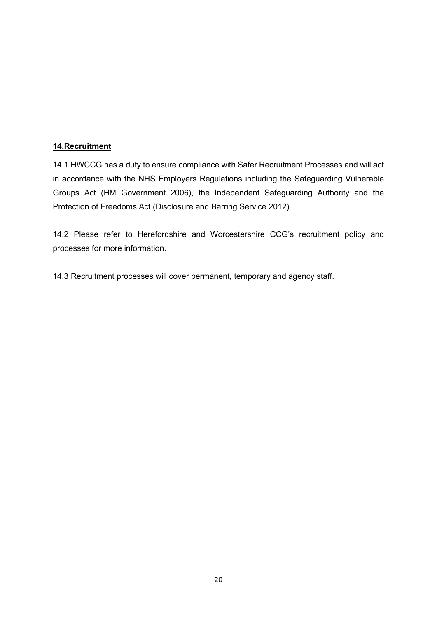#### **14.Recruitment**

14.1 HWCCG has a duty to ensure compliance with Safer Recruitment Processes and will act in accordance with the NHS Employers Regulations including the Safeguarding Vulnerable Groups Act (HM Government 2006), the Independent Safeguarding Authority and the Protection of Freedoms Act (Disclosure and Barring Service 2012)

14.2 Please refer to Herefordshire and Worcestershire CCG's recruitment policy and processes for more information.

14.3 Recruitment processes will cover permanent, temporary and agency staff.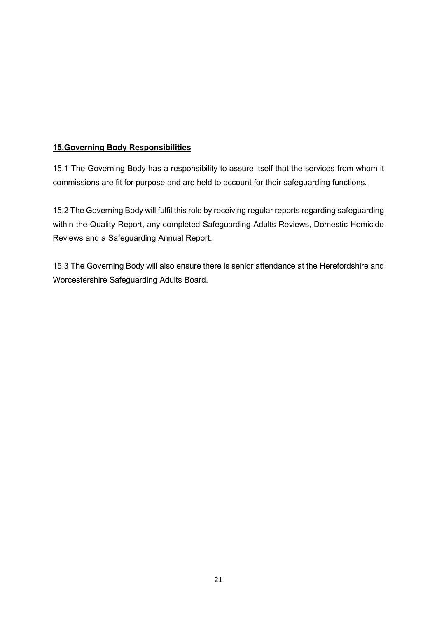#### **15.Governing Body Responsibilities**

15.1 The Governing Body has a responsibility to assure itself that the services from whom it commissions are fit for purpose and are held to account for their safeguarding functions.

15.2 The Governing Body will fulfil this role by receiving regular reports regarding safeguarding within the Quality Report, any completed Safeguarding Adults Reviews, Domestic Homicide Reviews and a Safeguarding Annual Report.

15.3 The Governing Body will also ensure there is senior attendance at the Herefordshire and Worcestershire Safeguarding Adults Board.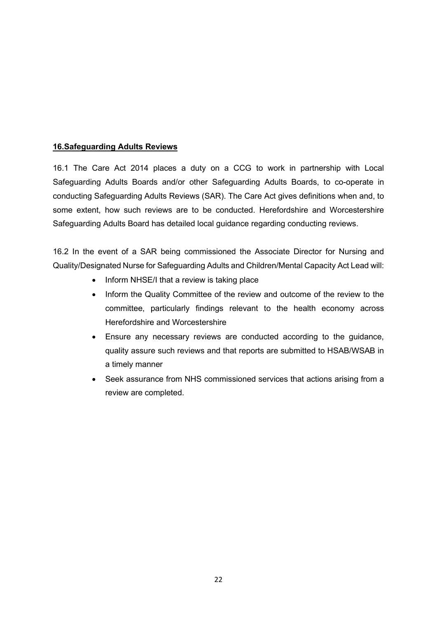#### **16.Safeguarding Adults Reviews**

16.1 The Care Act 2014 places a duty on a CCG to work in partnership with Local Safeguarding Adults Boards and/or other Safeguarding Adults Boards, to co-operate in conducting Safeguarding Adults Reviews (SAR). The Care Act gives definitions when and, to some extent, how such reviews are to be conducted. Herefordshire and Worcestershire Safeguarding Adults Board has detailed local guidance regarding conducting reviews.

16.2 In the event of a SAR being commissioned the Associate Director for Nursing and Quality/Designated Nurse for Safeguarding Adults and Children/Mental Capacity Act Lead will:

- Inform NHSE/I that a review is taking place
- Inform the Quality Committee of the review and outcome of the review to the committee, particularly findings relevant to the health economy across Herefordshire and Worcestershire
- Ensure any necessary reviews are conducted according to the guidance, quality assure such reviews and that reports are submitted to HSAB/WSAB in a timely manner
- Seek assurance from NHS commissioned services that actions arising from a review are completed.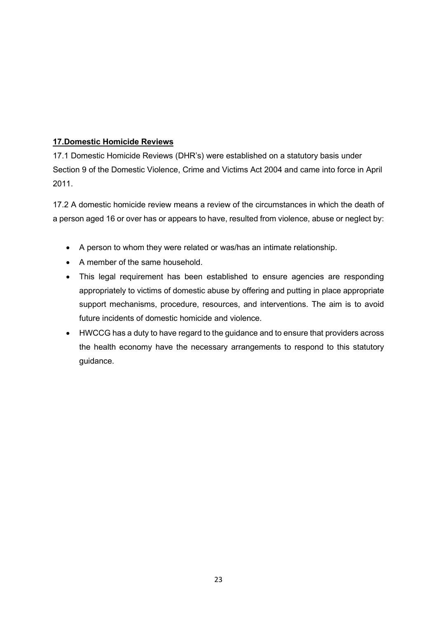#### **17.Domestic Homicide Reviews**

17.1 Domestic Homicide Reviews (DHR's) were established on a statutory basis under Section 9 of the Domestic Violence, Crime and Victims Act 2004 and came into force in April 2011.

17.2 A domestic homicide review means a review of the circumstances in which the death of a person aged 16 or over has or appears to have, resulted from violence, abuse or neglect by:

- A person to whom they were related or was/has an intimate relationship.
- A member of the same household.
- This legal requirement has been established to ensure agencies are responding appropriately to victims of domestic abuse by offering and putting in place appropriate support mechanisms, procedure, resources, and interventions. The aim is to avoid future incidents of domestic homicide and violence.
- HWCCG has a duty to have regard to the guidance and to ensure that providers across the health economy have the necessary arrangements to respond to this statutory guidance.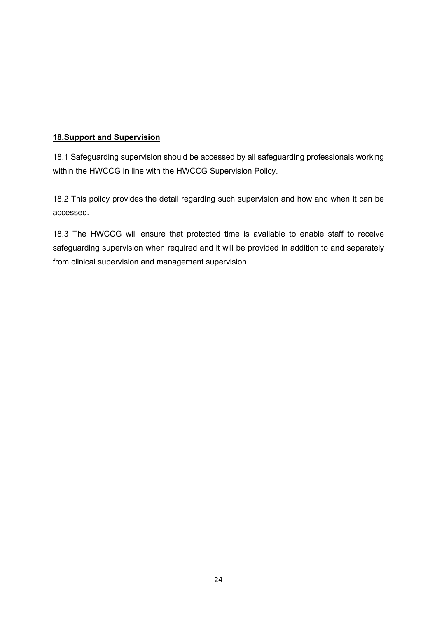#### **18.Support and Supervision**

18.1 Safeguarding supervision should be accessed by all safeguarding professionals working within the HWCCG in line with the HWCCG Supervision Policy.

18.2 This policy provides the detail regarding such supervision and how and when it can be accessed.

18.3 The HWCCG will ensure that protected time is available to enable staff to receive safeguarding supervision when required and it will be provided in addition to and separately from clinical supervision and management supervision.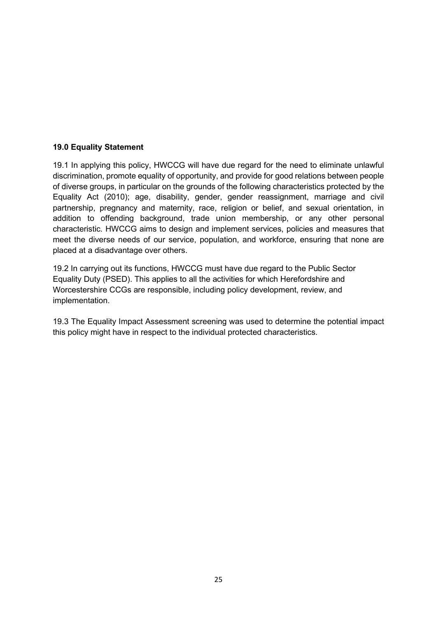#### **19.0 Equality Statement**

19.1 In applying this policy, HWCCG will have due regard for the need to eliminate unlawful discrimination, promote equality of opportunity, and provide for good relations between people of diverse groups, in particular on the grounds of the following characteristics protected by the Equality Act (2010); age, disability, gender, gender reassignment, marriage and civil partnership, pregnancy and maternity, race, religion or belief, and sexual orientation, in addition to offending background, trade union membership, or any other personal characteristic. HWCCG aims to design and implement services, policies and measures that meet the diverse needs of our service, population, and workforce, ensuring that none are placed at a disadvantage over others.

19.2 In carrying out its functions, HWCCG must have due regard to the Public Sector Equality Duty (PSED). This applies to all the activities for which Herefordshire and Worcestershire CCGs are responsible, including policy development, review, and implementation.

19.3 The Equality Impact Assessment screening was used to determine the potential impact this policy might have in respect to the individual protected characteristics.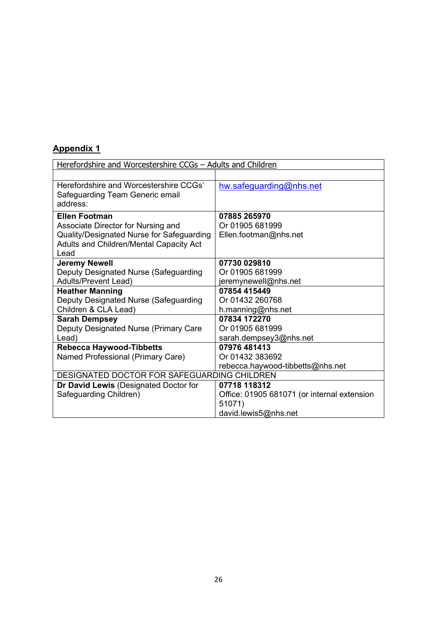| Herefordshire and Worcestershire CCGs - Adults and Children                                  |                                             |  |  |  |
|----------------------------------------------------------------------------------------------|---------------------------------------------|--|--|--|
|                                                                                              |                                             |  |  |  |
| Herefordshire and Worcestershire CCGs'<br>Safeguarding Team Generic email<br>address:        | hw.safeguarding@nhs.net                     |  |  |  |
| <b>Ellen Footman</b>                                                                         | 07885 265970                                |  |  |  |
| Associate Director for Nursing and                                                           | Or 01905 681999                             |  |  |  |
| Quality/Designated Nurse for Safeguarding<br>Adults and Children/Mental Capacity Act<br>Lead | Ellen.footman@nhs.net                       |  |  |  |
| <b>Jeremy Newell</b>                                                                         | 07730 029810                                |  |  |  |
| Deputy Designated Nurse (Safeguarding                                                        | Or 01905 681999                             |  |  |  |
| <b>Adults/Prevent Lead)</b>                                                                  | jeremynewell@nhs.net                        |  |  |  |
| <b>Heather Manning</b>                                                                       | 07854 415449                                |  |  |  |
| Deputy Designated Nurse (Safeguarding                                                        | Or 01432 260768                             |  |  |  |
| Children & CLA Lead)                                                                         | h.manning@nhs.net                           |  |  |  |
| <b>Sarah Dempsey</b>                                                                         | 07834 172270                                |  |  |  |
| Deputy Designated Nurse (Primary Care                                                        | Or 01905 681999                             |  |  |  |
| Lead)                                                                                        | sarah.dempsey3@nhs.net                      |  |  |  |
| <b>Rebecca Haywood-Tibbetts</b>                                                              | 07976 481413                                |  |  |  |
| Named Professional (Primary Care)                                                            | Or 01432 383692                             |  |  |  |
|                                                                                              | rebecca.haywood-tibbetts@nhs.net            |  |  |  |
| DESIGNATED DOCTOR FOR SAFEGUARDING CHILDREN                                                  |                                             |  |  |  |
| Dr David Lewis (Designated Doctor for                                                        | 07718 118312                                |  |  |  |
| Safeguarding Children)                                                                       | Office: 01905 681071 (or internal extension |  |  |  |
|                                                                                              | 51071)                                      |  |  |  |
|                                                                                              | david.lewis5@nhs.net                        |  |  |  |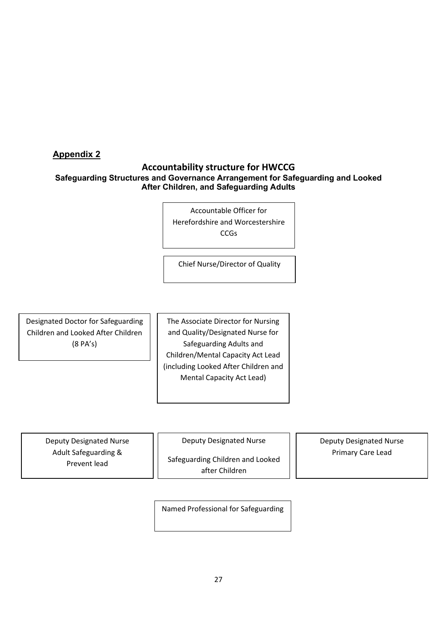#### **Accountability structure for HWCCG Safeguarding Structures and Governance Arrangement for Safeguarding and Looked After Children, and Safeguarding Adults**

Accountable Officer for Herefordshire and Worcestershire CCGs

Chief Nurse/Director of Quality

Designated Doctor for Safeguarding Children and Looked After Children (8 PA's)

The Associate Director for Nursing and Quality/Designated Nurse for Safeguarding Adults and Children/Mental Capacity Act Lead (including Looked After Children and Mental Capacity Act Lead)

Deputy Designated Nurse Adult Safeguarding & Prevent lead

Deputy Designated Nurse

Safeguarding Children and Looked after Children

Deputy Designated Nurse Primary Care Lead

Named Professional for Safeguarding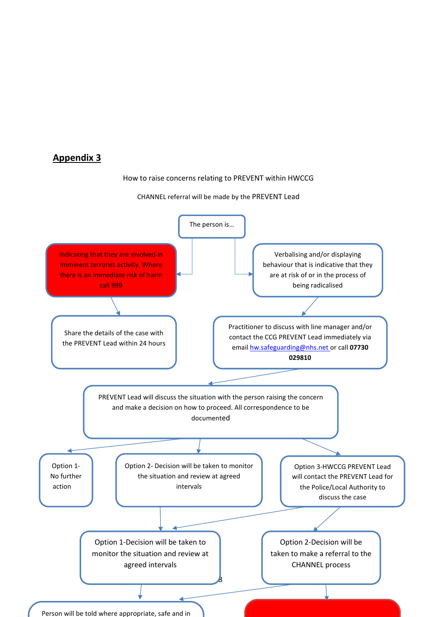#### How to raise concerns relating to PREVENT within HWCCG

#### CHANNEL referral will be made by the PREVENT Lead